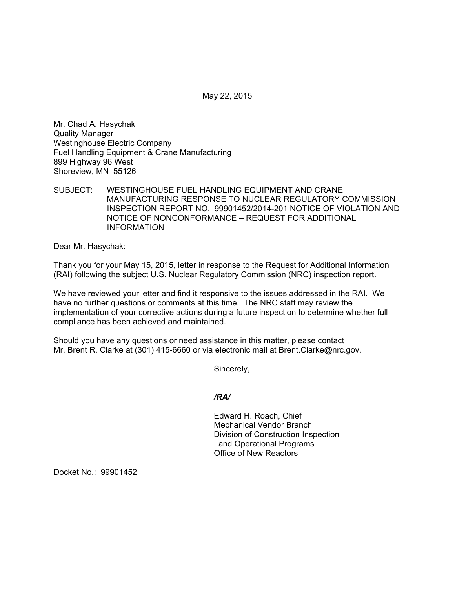May 22, 2015

Mr. Chad A. Hasychak Quality Manager Westinghouse Electric Company Fuel Handling Equipment & Crane Manufacturing 899 Highway 96 West Shoreview, MN 55126

SUBJECT: WESTINGHOUSE FUEL HANDLING EQUIPMENT AND CRANE MANUFACTURING RESPONSE TO NUCLEAR REGULATORY COMMISSION INSPECTION REPORT NO. 99901452/2014-201 NOTICE OF VIOLATION AND NOTICE OF NONCONFORMANCE – REQUEST FOR ADDITIONAL INFORMATION

Dear Mr. Hasychak:

Thank you for your May 15, 2015, letter in response to the Request for Additional Information (RAI) following the subject U.S. Nuclear Regulatory Commission (NRC) inspection report.

We have reviewed your letter and find it responsive to the issues addressed in the RAI. We have no further questions or comments at this time. The NRC staff may review the implementation of your corrective actions during a future inspection to determine whether full compliance has been achieved and maintained.

Should you have any questions or need assistance in this matter, please contact Mr. Brent R. Clarke at (301) 415-6660 or via electronic mail at Brent.Clarke@nrc.gov.

Sincerely,

*/RA/* 

Edward H. Roach, Chief Mechanical Vendor Branch Division of Construction Inspection and Operational Programs Office of New Reactors

Docket No.: 99901452